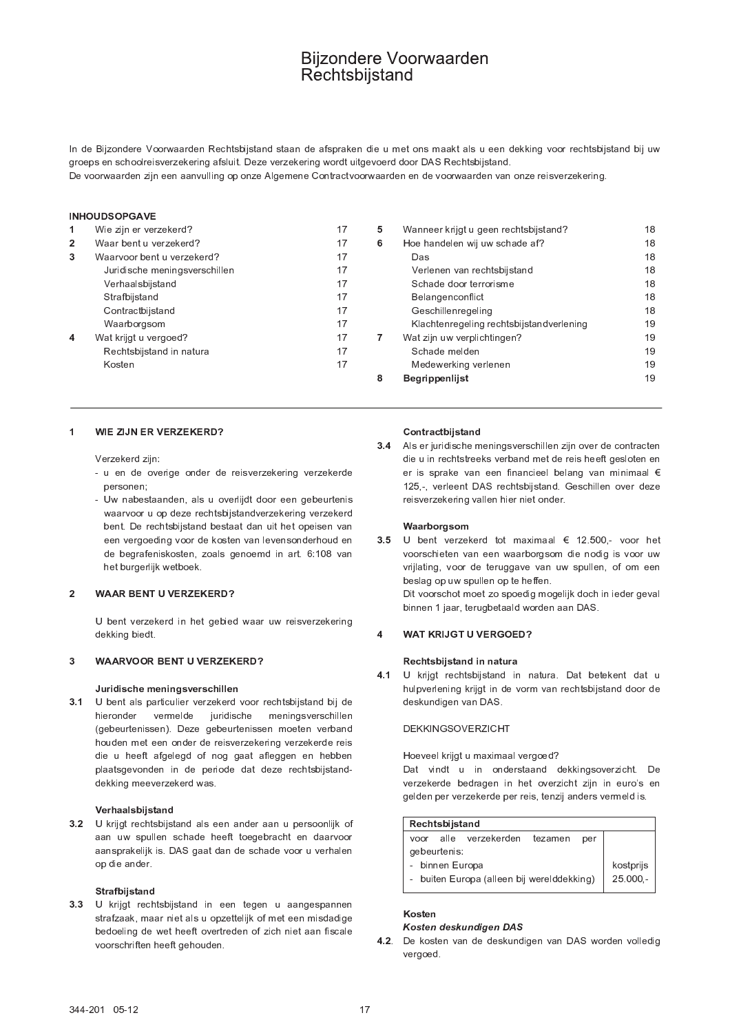# **Bijzondere Voorwaarden** Rechtsbijstand

In de Bijzondere Voorwaarden Rechtsbijstand staan de afspraken die u met ons maakt als u een dekking voor rechtsbijstand bij uw groeps en schoolreisverzekering afsluit. Deze verzekering wordt uitgevoerd door DAS Rechtsbijstand. De voorwaarden zijn een aanvulling op onze Algemene Contractvoorwaarden en de voorwaarden van onze reisverzekering.

**INHOURCORCAVE** 

| $\mathbf 1$    | Wie zijn er verzekerd?        | 17 | 5. | Wanneer krijgt u geen rechtsbijstand?    | 18 |
|----------------|-------------------------------|----|----|------------------------------------------|----|
| $\overline{2}$ | Waar bent u verzekerd?        | 17 | 6  | Hoe handelen wij uw schade af?           | 18 |
| 3              | Waarvoor bent u verzekerd?    | 17 |    | Das                                      | 18 |
|                | Juridische meningsverschillen | 17 |    | Verlenen van rechtsbijstand              | 18 |
|                | Verhaalsbijstand              | 17 |    | Schade door terrorisme                   | 18 |
|                | Strafbijstand                 | 17 |    | Belangenconflict                         | 18 |
|                | Contractbijstand              | 17 |    | Geschillenregeling                       | 18 |
|                | Waarborgsom                   | 17 |    | Klachtenregeling rechtsbijstandverlening | 19 |
| $\overline{4}$ | Wat krijgt u vergoed?         | 17 |    | Wat zijn uw verplichtingen?              | 19 |
|                | Rechtsbijstand in natura      | 17 |    | Schade melden                            | 19 |
|                | Kosten                        | 17 |    | Medewerking verlenen                     | 19 |
|                |                               |    | 8  | <b>Begrippenlijst</b>                    | 19 |
|                |                               |    |    |                                          |    |

#### WIE ZIJN ER VERZEKERD?  $\blacktriangleleft$

Verzekerd zijn:

- u en de overige onder de reisverzekering verzekerde personen:
- Uw nabestaanden, als u overlijdt door een gebeurtenis waarvoor u op deze rechtsbijstandverzekering verzekerd bent. De rechtsbijstand bestaat dan uit het opeisen van een vergoeding voor de kosten van levensonderhoud en de begrafeniskosten, zoals genoemd in art. 6:108 van het burgerlijk wetboek.

#### $\overline{2}$ **WAAR BENT U VERZEKERD?**

U bent verzekerd in het gebied waar uw reisverzekering dekking biedt.

#### $\overline{3}$ **WAARVOOR BENT U VERZEKERD?**

# Juridische meningsverschillen

 $3.1$ U bent als particulier verzekerd voor rechtsbijstand bij de vermelde juridische meningsverschillen hieronder (gebeurtenissen). Deze gebeurtenissen moeten verband houden met een onder de reisverzekering verzekerde reis die u heeft afgelegd of nog gaat afleggen en hebben plaatsgevonden in de periode dat deze rechtsbijstanddekking meeverzekerd was.

# Verhaalsbijstand

3.2 U krijgt rechtsbijstand als een ander aan u persoonlijk of aan uw spullen schade heeft toegebracht en daarvoor aansprakelijk is. DAS gaat dan de schade voor u verhalen op die ander.

# Strafbijstand

 $3.3$ U krijgt rechtsbijstand in een tegen u aangespannen strafzaak, maar niet als u opzettelijk of met een misdadige bedoeling de wet heeft overtreden of zich niet aan fiscale voorschriften heeft gehouden.

### Contractbijstand

Als er juridische meningsverschillen zijn over de contracten  $3.4$ die u in rechtstreeks verband met de reis heeft gesloten en er is sprake van een financieel belang van minimaal € 125,-, verleent DAS rechtsbijstand. Geschillen over deze reisverzekering vallen hier niet onder.

# Waarborgsom

3.5 U bent verzekerd tot maximaal € 12.500,- voor het voorschieten van een waarborgsom die nodig is voor uw vrijlating, voor de teruggave van uw spullen, of om een beslag op uw spullen op te heffen. Dit voorschot moet zo spoedig mogelijk doch in ieder geval binnen 1 jaar, terugbetaald worden aan DAS.

#### **WAT KRIJGT U VERGOED?**  $\overline{\mathbf{4}}$

# Rechtsbijstand in natura

 $4.1$ U krijgt rechtsbijstand in natura. Dat betekent dat u hulpverlening krijgt in de vorm van rechtsbijstand door de deskundigen van DAS.

# **DEKKINGSOVERZICHT**

### Hoeveel krijgt u maximaal vergoed?

Dat vindt u in onderstaand dekkingsoverzicht. De verzekerde bedragen in het overzicht zijn in euro's en gelden per verzekerde per reis, tenzij anders vermeld is.

| Rechtsbijstand                             |            |  |  |  |  |  |
|--------------------------------------------|------------|--|--|--|--|--|
| voor alle verzekerden<br>tezamen<br>per    |            |  |  |  |  |  |
| gebeurtenis:                               |            |  |  |  |  |  |
| - binnen Europa                            | kostprijs  |  |  |  |  |  |
| - buiten Europa (alleen bij werelddekking) | $25.000 -$ |  |  |  |  |  |
|                                            |            |  |  |  |  |  |

### Kosten Kosten deskundigen DAS

4.2. De kosten van de deskundigen van DAS worden volledig vergoed.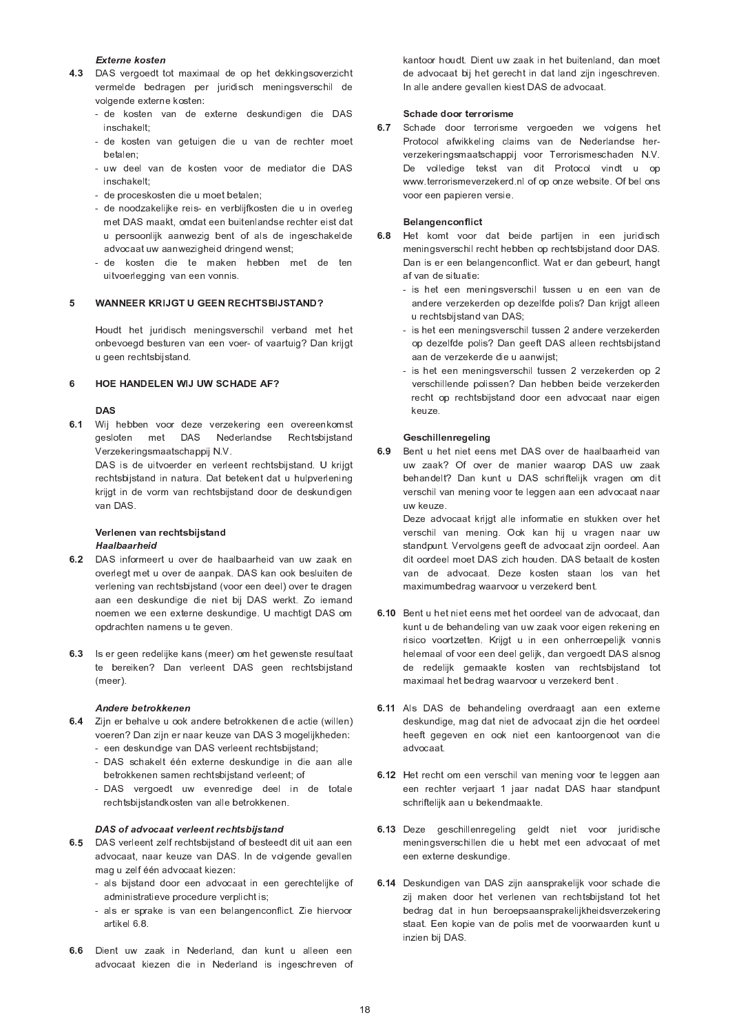### Externe kosten

- 4.3 DAS vergoedt tot maximaal de op het dekkingsoverzicht vermelde bedragen per juridisch meningsverschil de volgende externe kosten:
	- de kosten van de externe deskundigen die DAS inschakelt:
	- de kosten van getuigen die u van de rechter moet betalen:
	- uw deel van de kosten voor de mediator die DAS inschakelt;
	- de proceskosten die u moet betalen;
	- de noodzakelijke reis- en verblijfkosten die u in overleg met DAS maakt, omdat een buitenlandse rechter eist dat u persoonlijk aanwezig bent of als de ingeschakelde advocaat uw aanwezigheid dringend wenst;
	- de kosten die te maken hebben met de ten uitvoerlegging van een vonnis.

#### 5 **WANNEER KRIJGT U GEEN RECHTSBIJSTAND?**

Houdt het juridisch meningsverschil verband met het onbevoegd besturen van een voer- of vaartuig? Dan krijgt u geen rechtsbijstand.

#### $6\phantom{a}$ HOE HANDELEN WIJ UW SCHADE AF?

# **DAS**

6.1 Wij hebben voor deze verzekering een overeenkomst gesloten met DAS Nederlandse Rechtsbijstand Verzekeringsmaatschappij N.V.

DAS is de uitvoerder en verleent rechtsbijstand. U krijgt rechtsbijstand in natura. Dat betekent dat u hulpverlening krijgt in de vorm van rechtsbijstand door de deskundigen van DAS.

### Verlenen van rechtsbijstand Haalbaarheid

- 6.2 DAS informeert u over de haalbaarheid van uw zaak en overlegt met u over de aanpak. DAS kan ook besluiten de verlening van rechtsbijstand (voor een deel) over te dragen aan een deskundige die niet bij DAS werkt. Zo iemand noemen we een externe deskundige. U machtigt DAS om opdrachten namens u te geven.
- 6.3 Is er geen redelijke kans (meer) om het gewenste resultaat te bereiken? Dan verleent DAS geen rechtsbijstand  $(m\rho\rho r)$

### Andere betrokkenen

- 6.4 Zijn er behalve u ook andere betrokkenen die actie (willen) voeren? Dan zijn er naar keuze van DAS 3 mogelijkheden: - een deskundige van DAS verleent rechtsbijstand;
	- DAS schakelt één externe deskundige in die aan alle
	- betrokkenen samen rechtsbijstand verleent; of
	- DAS vergoedt uw evenredige deel in de totale rechtsbijstandkosten van alle betrokkenen.

# DAS of advocaat verleent rechtsbijstand

- 6.5 DAS verleent zelf rechtsbijstand of besteedt dit uit aan een advocaat, naar keuze van DAS. In de volgende gevallen mag u zelf één advocaat kiezen:
	- als bijstand door een advocaat in een gerechtelijke of administratieve procedure verplicht is;
	- als er sprake is van een belangenconflict. Zie hiervoor artikel 6.8.
- 6.6 Dient uw zaak in Nederland, dan kunt u alleen een advocaat kiezen die in Nederland is ingeschreven of

kantoor houdt. Dient uw zaak in het buitenland, dan moet de advocaat bij het gerecht in dat land zijn ingeschreven. In alle andere gevallen kiest DAS de advocaat.

# Schade door terrorisme

6.7 Schade door terrorisme vergoeden we volgens het Protocol afwikkeling claims van de Nederlandse herverzekeringsmaatschappij voor Terrorismeschaden N.V. De volledige tekst van dit Protocol vindt u op www.terrorismeverzekerd.nl of op onze website. Of bel ons voor een papieren versie.

### Belangenconflict

- 6.8 Het komt voor dat beide partijen in een juridisch meningsverschil recht hebben op rechtsbijstand door DAS. Dan is er een belangenconflict. Wat er dan gebeurt, hangt af van de situatie:
	- is het een meningsverschil tussen u en een van de andere verzekerden op dezelfde polis? Dan krijgt alleen u rechtsbijstand van DAS;
	- is het een meningsverschil tussen 2 andere verzekerden op dezelfde polis? Dan geeft DAS alleen rechtsbijstand aan de verzekerde die u aanwijst;
	- is het een meningsverschil tussen 2 verzekerden op 2 verschillende polissen? Dan hebben beide verzekerden recht op rechtsbijstand door een advocaat naar eigen keuze.

# Geschillenregeling

6.9 Bent u het niet eens met DAS over de haalbaarheid van uw zaak? Of over de manier waarop DAS uw zaak behandelt? Dan kunt u DAS schriftelijk vragen om dit verschil van mening voor te leggen aan een advocaat naar uw keuze.

Deze advocaat krijgt alle informatie en stukken over het verschil van mening. Ook kan hij u vragen naar uw standpunt. Vervolgens geeft de advocaat zijn oordeel. Aan dit oordeel moet DAS zich houden. DAS betaalt de kosten van de advocaat. Deze kosten staan los van het maximumbedrag waarvoor u verzekerd bent.

- 6.10 Bent u het niet eens met het oordeel van de advocaat, dan kunt u de behandeling van uw zaak voor eigen rekening en risico voortzetten. Krijgt u in een onherroepelijk vonnis helemaal of voor een deel gelijk, dan vergoedt DAS alsnog de redelijk gemaakte kosten van rechtsbijstand tot maximaal het bedrag waarvoor u verzekerd bent.
- 6.11 Als DAS de behandeling overdraagt aan een externe deskundige, mag dat niet de advocaat zijn die het oordeel heeft gegeven en ook niet een kantoorgenoot van die advocaat
- 6.12 Het recht om een verschil van mening voor te leggen aan een rechter verjaart 1 jaar nadat DAS haar standpunt schriftelijk aan u bekendmaakte.
- 6.13 Deze geschillenregeling geldt niet voor juridische meningsverschillen die u hebt met een advocaat of met een externe deskundige.
- 6.14 Deskundigen van DAS zijn aansprakelijk voor schade die zij maken door het verlenen van rechtsbijstand tot het bedrag dat in hun beroepsaansprakelijkheidsverzekering staat. Een kopie van de polis met de voorwaarden kunt u inzien bij DAS.